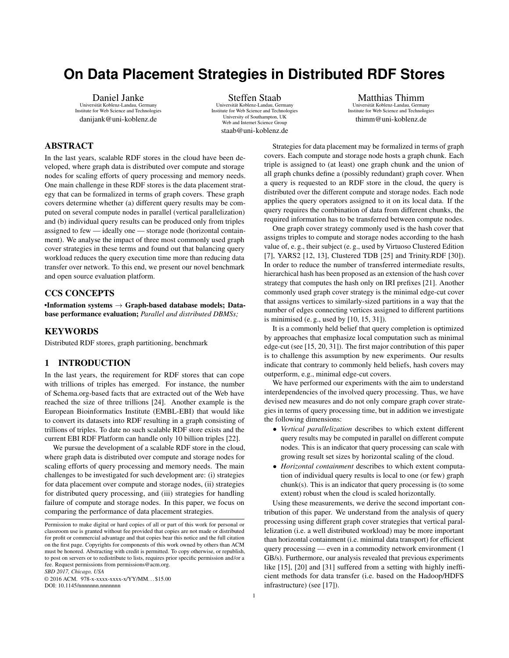# **On Data Placement Strategies in Distributed RDF Stores**

Daniel Janke Universitat Koblenz-Landau, Germany ¨ Institute for Web Science and Technologies danijank@uni-koblenz.de

Steffen Staab Universitat Koblenz-Landau, Germany ¨ Institute for Web Science and Technologies University of Southampton, UK Web and Internet Science Group staab@uni-koblenz.de

Matthias Thimm<br>Universität Koblenz-Landau, Germany

Institute for Web Science and Technologies thimm@uni-koblenz.de

## ABSTRACT

In the last years, scalable RDF stores in the cloud have been developed, where graph data is distributed over compute and storage nodes for scaling efforts of query processing and memory needs. One main challenge in these RDF stores is the data placement strategy that can be formalized in terms of graph covers. These graph covers determine whether (a) different query results may be computed on several compute nodes in parallel (vertical parallelization) and (b) individual query results can be produced only from triples assigned to few — ideally one — storage node (horizontal containment). We analyse the impact of three most commonly used graph cover strategies in these terms and found out that balancing query workload reduces the query execution time more than reducing data transfer over network. To this end, we present our novel benchmark and open source evaluation platform.

## CCS CONCEPTS

 $\bullet$ Information systems  $\to$  Graph-based database models; Database performance evaluation; *Parallel and distributed DBMSs;*

## KEYWORDS

Distributed RDF stores, graph partitioning, benchmark

## 1 INTRODUCTION

In the last years, the requirement for RDF stores that can cope with trillions of triples has emerged. For instance, the number of Schema.org-based facts that are extracted out of the Web have reached the size of three trillions [\[24\]](#page-5-0). Another example is the European Bioinformatics Institute (EMBL-EBI) that would like to convert its datasets into RDF resulting in a graph consisting of trillions of triples. To date no such scalable RDF store exists and the current EBI RDF Platform can handle only 10 billion triples [\[22\]](#page-5-1).

We pursue the development of a scalable RDF store in the cloud, where graph data is distributed over compute and storage nodes for scaling efforts of query processing and memory needs. The main challenges to be investigated for such development are: (i) strategies for data placement over compute and storage nodes, (ii) strategies for distributed query processing, and (iii) strategies for handling failure of compute and storage nodes. In this paper, we focus on comparing the performance of data placement strategies.

*SBD 2017, Chicago, USA*

Strategies for data placement may be formalized in terms of graph covers. Each compute and storage node hosts a graph chunk. Each triple is assigned to (at least) one graph chunk and the union of all graph chunks define a (possibly redundant) graph cover. When a query is requested to an RDF store in the cloud, the query is distributed over the different compute and storage nodes. Each node applies the query operators assigned to it on its local data. If the query requires the combination of data from different chunks, the required information has to be transferred between compute nodes.

One graph cover strategy commonly used is the hash cover that assigns triples to compute and storage nodes according to the hash value of, e. g., their subject (e. g., used by Virtuoso Clustered Edition [\[7\]](#page-5-2), YARS2 [\[12,](#page-5-3) [13\]](#page-5-4), Clustered TDB [\[25\]](#page-5-5) and Trinity.RDF [\[30\]](#page-5-6)). In order to reduce the number of transferred intermediate results, hierarchical hash has been proposed as an extension of the hash cover strategy that computes the hash only on IRI prefixes [\[21\]](#page-5-7). Another commonly used graph cover strategy is the minimal edge-cut cover that assigns vertices to similarly-sized partitions in a way that the number of edges connecting vertices assigned to different partitions is minimised (e. g., used by [\[10,](#page-5-8) [15,](#page-5-9) [31\]](#page-5-10)).

It is a commonly held belief that query completion is optimized by approaches that emphasize local computation such as minimal edge-cut (see [\[15,](#page-5-9) [20,](#page-5-11) [31\]](#page-5-10)). The first major contribution of this paper is to challenge this assumption by new experiments. Our results indicate that contrary to commonly held beliefs, hash covers may outperform, e.g., minimal edge-cut covers.

We have performed our experiments with the aim to understand interdependencies of the involved query processing. Thus, we have devised new measures and do not only compare graph cover strategies in terms of query processing time, but in addition we investigate the following dimensions:

- *Vertical parallelization* describes to which extent different query results may be computed in parallel on different compute nodes. This is an indicator that query processing can scale with growing result set sizes by horizontal scaling of the cloud.
- *Horizontal containment* describes to which extent computation of individual query results is local to one (or few) graph chunk(s). This is an indicator that query processing is (to some extent) robust when the cloud is scaled horizontally.

Using these measurements, we derive the second important contribution of this paper. We understand from the analysis of query processing using different graph cover strategies that vertical parallelization (i.e. a well distributed workload) may be more important than horizontal containment (i.e. minimal data transport) for efficient query processing — even in a commodity network environment (1 GB/s). Furthermore, our analysis revealed that previous experiments like [\[15\]](#page-5-9), [\[20\]](#page-5-11) and [\[31\]](#page-5-10) suffered from a setting with highly inefficient methods for data transfer (i.e. based on the Hadoop/HDFS infrastructure) (see [\[17\]](#page-5-12)).

Permission to make digital or hard copies of all or part of this work for personal or classroom use is granted without fee provided that copies are not made or distributed for profit or commercial advantage and that copies bear this notice and the full citation on the first page. Copyrights for components of this work owned by others than ACM must be honored. Abstracting with credit is permitted. To copy otherwise, or republish, to post on servers or to redistribute to lists, requires prior specific permission and/or a fee. Request permissions from permissions@acm.org.

<sup>© 2016</sup> ACM. 978-x-xxxx-xxxx-x/YY/MM. . . \$15.00 DOI: 10.1145/nnnnnnn.nnnnnnn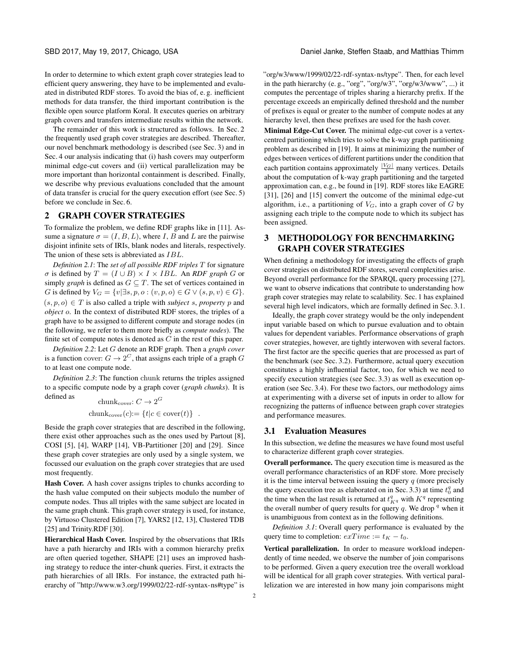In order to determine to which extent graph cover strategies lead to efficient query answering, they have to be implemented and evaluated in distributed RDF stores. To avoid the bias of, e. g. inefficient methods for data transfer, the third important contribution is the flexible open source platform Koral. It executes queries on arbitrary graph covers and transfers intermediate results within the network.

The remainder of this work is structured as follows. In Sec. [2](#page-1-0) the frequently used graph cover strategies are described. Thereafter, our novel benchmark methodology is described (see Sec. [3\)](#page-1-1) and in Sec. [4](#page-3-0) our analysis indicating that (i) hash covers may outperform minimal edge-cut covers and (ii) vertical parallelization may be more important than horizontal containment is described. Finally, we describe why previous evaluations concluded that the amount of data transfer is crucial for the query execution effort (see Sec. [5\)](#page-5-13) before we conclude in Sec. [6.](#page-5-14)

## <span id="page-1-0"></span>2 GRAPH COVER STRATEGIES

To formalize the problem, we define RDF graphs like in [\[11\]](#page-5-15). Assume a signature  $\sigma = (I, B, L)$ , where I, B and L are the pairwise disjoint infinite sets of IRIs, blank nodes and literals, respectively. The union of these sets is abbreviated as IBL.

*Definition 2.1*: The *set of all possible RDF triples* T for signature  $\sigma$  is defined by  $T = (I \cup B) \times I \times IBL$ . An *RDF graph* G or simply *graph* is defined as  $G \subseteq T$ . The set of vertices contained in G is defined by  $V_G = \{v | \exists s, p, o : (v, p, o) \in G \vee (s, p, v) \in G\}.$  $(s, p, o) \in T$  is also called a triple with *subject* s, *property* p and *object* o. In the context of distributed RDF stores, the triples of a graph have to be assigned to different compute and storage nodes (in the following, we refer to them more briefly as *compute nodes*). The finite set of compute notes is denoted as  $C$  in the rest of this paper.

*Definition 2.2*: Let G denote an RDF graph. Then a *graph cover* is a function cover:  $G \to 2^C$ , that assigns each triple of a graph  $G$ to at least one compute node.

*Definition 2.3*: The function chunk returns the triples assigned to a specific compute node by a graph cover (*graph chunks*). It is defined as

chunk<sub>cover</sub>:  $C \rightarrow 2^G$ chunk<sub>cover</sub> $(c):=\{t|c \in \text{cover}(t)\}\;$ .

Beside the graph cover strategies that are described in the following, there exist other approaches such as the ones used by Partout [\[8\]](#page-5-16), COSI [\[5\]](#page-5-17), [\[4\]](#page-5-18), WARP [\[14\]](#page-5-19), VB-Partitioner [\[20\]](#page-5-11) and [\[29\]](#page-5-20). Since these graph cover strategies are only used by a single system, we focussed our evaluation on the graph cover strategies that are used most frequently.

Hash Cover. A hash cover assigns triples to chunks according to the hash value computed on their subjects modulo the number of compute nodes. Thus all triples with the same subject are located in the same graph chunk. This graph cover strategy is used, for instance, by Virtuoso Clustered Edition [\[7\]](#page-5-2), YARS2 [\[12,](#page-5-3) [13\]](#page-5-4), Clustered TDB [\[25\]](#page-5-5) and Trinity.RDF [\[30\]](#page-5-6).

Hierarchical Hash Cover. Inspired by the observations that IRIs have a path hierarchy and IRIs with a common hierarchy prefix are often queried together, SHAPE [\[21\]](#page-5-7) uses an improved hashing strategy to reduce the inter-chunk queries. First, it extracts the path hierarchies of all IRIs. For instance, the extracted path hierarchy of ["http://www.w3.org/1999/02/22-rdf-syntax-ns#type"](http://www.w3.org/1999/02/22-rdf-syntax-ns#type) is

["org/w3/www/1999/02/22-rdf-syntax-ns/type"](org/w3/www/1999/02/22-rdf-syntax-ns/type). Then, for each level in the path hierarchy (e. g., ["org"](org), ["org/w3"](org/w3), ["org/w3/www"](org/w3/www), ...) it computes the percentage of triples sharing a hierarchy prefix. If the percentage exceeds an empirically defined threshold and the number of prefixes is equal or greater to the number of compute nodes at any hierarchy level, then these prefixes are used for the hash cover.

Minimal Edge-Cut Cover. The minimal edge-cut cover is a vertexcentred partitioning which tries to solve the k-way graph partitioning problem as described in [\[19\]](#page-5-21). It aims at minimizing the number of edges between vertices of different partitions under the condition that each partition contains approximately  $\frac{|V_G|}{k}$  many vertices. Details about the computation of k-way graph partitioning and the targeted approximation can, e.g., be found in [\[19\]](#page-5-21). RDF stores like EAGRE [\[31\]](#page-5-10), [\[26\]](#page-5-22) and [\[15\]](#page-5-9) convert the outcome of the minimal edge-cut algorithm, i.e., a partitioning of  $V_G$ , into a graph cover of G by assigning each triple to the compute node to which its subject has been assigned.

## <span id="page-1-1"></span>3 METHODOLOGY FOR BENCHMARKING GRAPH COVER STRATEGIES

When defining a methodology for investigating the effects of graph cover strategies on distributed RDF stores, several complexities arise. Beyond overall performance for the SPARQL query processing [\[27\]](#page-5-23), we want to observe indications that contribute to understanding how graph cover strategies may relate to scalability. Sec. 1 has explained several high level indicators, which are formally defined in Sec. [3.1.](#page-1-2)

Ideally, the graph cover strategy would be the only independent input variable based on which to pursue evaluation and to obtain values for dependent variables. Performance observations of graph cover strategies, however, are tightly interwoven with several factors. The first factor are the specific queries that are processed as part of the benchmark (see Sec. [3.2\)](#page-2-0). Furthermore, actual query execution constitutes a highly influential factor, too, for which we need to specify execution strategies (see Sec. [3.3\)](#page-2-1) as well as execution operation (see Sec. [3.4\)](#page-2-2). For these two factors, our methodology aims at experimenting with a diverse set of inputs in order to allow for recognizing the patterns of influence between graph cover strategies and performance measures.

#### <span id="page-1-2"></span>3.1 Evaluation Measures

In this subsection, we define the measures we have found most useful to characterize different graph cover strategies.

Overall performance. The query execution time is measured as the overall performance characteristics of an RDF store. More precisely it is the time interval between issuing the query  $q$  (more precisely the query execution tree as elaborated on in Sec. [3.3\)](#page-2-1) at time  $t_0^q$  and the time when the last result is returned at  $t_{Kq}^q$  with  $K^q$  representing the overall number of query results for query q. We drop  $q$  when it is unambiguous from context as in the following definitions.

*Definition 3.1*: Overall query performance is evaluated by the query time to completion:  $exTime := t_K - t_0$ .

Vertical parallelization. In order to measure workload independently of time needed, we observe the number of join comparisons to be performed. Given a query execution tree the overall workload will be identical for all graph cover strategies. With vertical parallelization we are interested in how many join comparisons might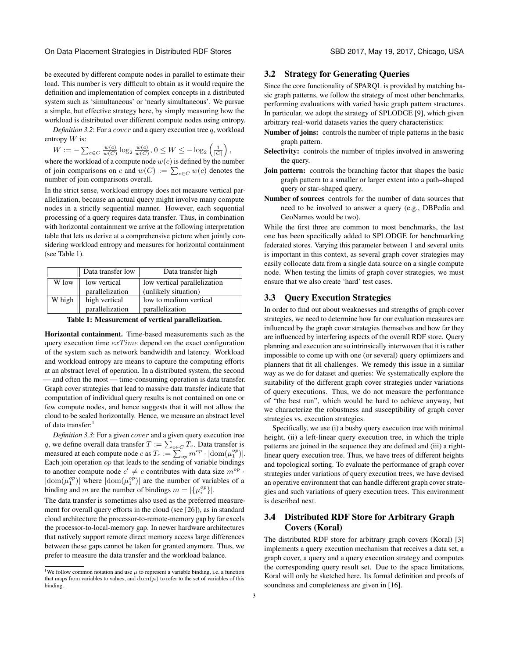On Data Placement Strategies in Distributed RDF Stores Summan SBD 2017, May 19, 2017, Chicago, USA

be executed by different compute nodes in parallel to estimate their load. This number is very difficult to obtain as it would require the definition and implementation of complex concepts in a distributed system such as 'simultaneous' or 'nearly simultaneous'. We pursue a simple, but effective strategy here, by simply measuring how the workload is distributed over different compute nodes using entropy.

*Definition 3.2*: For a *cover* and a query execution tree  $q$ , workload entropy  $W$  is:

 $W := -\sum_{c \in C} \frac{w(c)}{w(C)} \log_2 \frac{w(c)}{w(C)}$ ,  $0 \leq W \leq -\log_2 \left(\frac{1}{|C|}\right)$ ,

where the workload of a compute node  $w(c)$  is defined by the number of join comparisons on c and  $w(C) := \sum_{c \in C} w(c)$  denotes the number of join comparisons overall.

In the strict sense, workload entropy does not measure vertical parallelization, because an actual query might involve many compute nodes in a strictly sequential manner. However, each sequential processing of a query requires data transfer. Thus, in combination with horizontal containment we arrive at the following interpretation table that lets us derive at a comprehensive picture when jointly considering workload entropy and measures for horizontal containment (see Table [1\)](#page-2-3).

<span id="page-2-3"></span>

|        | Data transfer low | Data transfer high           |
|--------|-------------------|------------------------------|
| W low  | low vertical      | low vertical parallelization |
|        | parallelization   | (unlikely situation)         |
| W high | high vertical     | low to medium vertical       |
|        | parallelization   | parallelization              |

Table 1: Measurement of vertical parallelization.

Horizontal containment. Time-based measurements such as the query execution time  $exTime$  depend on the exact configuration of the system such as network bandwidth and latency. Workload and workload entropy are means to capture the computing efforts at an abstract level of operation. In a distributed system, the second — and often the most — time-consuming operation is data transfer. Graph cover strategies that lead to massive data transfer indicate that computation of individual query results is not contained on one or few compute nodes, and hence suggests that it will not allow the cloud to be scaled horizontally. Hence, we measure an abstract level of data transfer:<sup>[1](#page-2-4)</sup>

*Definition 3.3*: For a given cover and a given query execution tree q, we define overall data transfer  $T := \sum_{c \in C} T_c$ . Data transfer is measured at each compute node c as  $T_c := \sum_{op}^{\infty} m^{op} \cdot |\text{dom}(\mu_1^{op})|$ . Each join operation  $op$  that leads to the sending of variable bindings to another compute node  $c' \neq c$  contributes with data size  $m^{op}$ .  $|\text{dom}(\mu_1^{op})|$  where  $|\text{dom}(\mu_1^{op})|$  are the number of variables of a binding and m are the number of bindings  $m = |\{\mu_i^{op}\}|.$ 

The data transfer is sometimes also used as the preferred measurement for overall query efforts in the cloud (see [\[26\]](#page-5-22)), as in standard cloud architecture the processor-to-remote-memory gap by far excels the processor-to-local-memory gap. In newer hardware architectures that natively support remote direct memory access large differences between these gaps cannot be taken for granted anymore. Thus, we prefer to measure the data transfer and the workload balance.

#### <span id="page-2-0"></span>3.2 Strategy for Generating Queries

Since the core functionality of SPARQL is provided by matching basic graph patterns, we follow the strategy of most other benchmarks, performing evaluations with varied basic graph pattern structures. In particular, we adopt the strategy of SPLODGE [\[9\]](#page-5-24), which given arbitrary real-world datasets varies the query characteristics:

- Number of joins: controls the number of triple patterns in the basic graph pattern.
- Selectivity: controls the number of triples involved in answering the query.
- Join pattern: controls the branching factor that shapes the basic graph pattern to a smaller or larger extent into a path–shaped query or star–shaped query.
- Number of sources controls for the number of data sources that need to be involved to answer a query (e.g., DBPedia and GeoNames would be two).

While the first three are common to most benchmarks, the last one has been specifically added to SPLODGE for benchmarking federated stores. Varying this parameter between 1 and several units is important in this context, as several graph cover strategies may easily collocate data from a single data source on a single compute node. When testing the limits of graph cover strategies, we must ensure that we also create 'hard' test cases.

### <span id="page-2-1"></span>3.3 Query Execution Strategies

In order to find out about weaknesses and strengths of graph cover strategies, we need to determine how far our evaluation measures are influenced by the graph cover strategies themselves and how far they are influenced by interfering aspects of the overall RDF store. Query planning and execution are so intrinsically interwoven that it is rather impossible to come up with one (or several) query optimizers and planners that fit all challenges. We remedy this issue in a similar way as we do for dataset and queries: We systematically explore the suitability of the different graph cover strategies under variations of query executions. Thus, we do not measure the performance of "the best run", which would be hard to achieve anyway, but we characterize the robustness and susceptibility of graph cover strategies vs. execution strategies.

Specifically, we use (i) a bushy query execution tree with minimal height, (ii) a left-linear query execution tree, in which the triple patterns are joined in the sequence they are defined and (iii) a rightlinear query execution tree. Thus, we have trees of different heights and topological sorting. To evaluate the performance of graph cover strategies under variations of query execution trees, we have devised an operative environment that can handle different graph cover strategies and such variations of query execution trees. This environment is described next.

# <span id="page-2-2"></span>3.4 Distributed RDF Store for Arbitrary Graph Covers (Koral)

The distributed RDF store for arbitrary graph covers (Koral) [\[3\]](#page-5-25) implements a query execution mechanism that receives a data set, a graph cover, a query and a query execution strategy and computes the corresponding query result set. Due to the space limitations, Koral will only be sketched here. Its formal definition and proofs of soundness and completeness are given in [\[16\]](#page-5-26).

<span id="page-2-4"></span><sup>&</sup>lt;sup>1</sup>We follow common notation and use  $\mu$  to represent a variable binding, i.e. a function that maps from variables to values, and  $dom(\mu)$  to refer to the set of variables of this binding.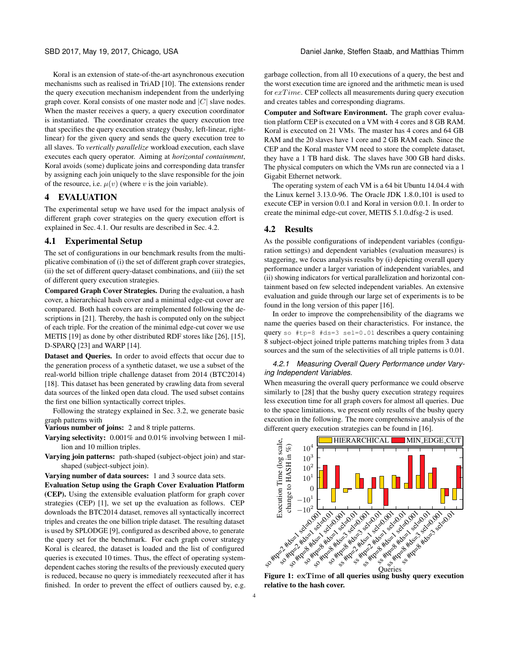Koral is an extension of state-of-the-art asynchronous execution mechanisms such as realised in TriAD [\[10\]](#page-5-8). The extensions render the query execution mechanism independent from the underlying graph cover. Koral consists of one master node and  $|C|$  slave nodes. When the master receives a query, a query execution coordinator is instantiated. The coordinator creates the query execution tree that specifies the query execution strategy (bushy, left-linear, rightlinear) for the given query and sends the query execution tree to all slaves. To *vertically parallelize* workload execution, each slave executes each query operator. Aiming at *horizontal containment*, Koral avoids (some) duplicate joins and corresponding data transfer by assigning each join uniquely to the slave responsible for the join of the resource, i.e.  $\mu(v)$  (where v is the join variable).

#### <span id="page-3-0"></span>4 EVALUATION

The experimental setup we have used for the impact analysis of different graph cover strategies on the query execution effort is explained in Sec. [4.1.](#page-3-1) Our results are described in Sec. [4.2.](#page-3-2)

#### <span id="page-3-1"></span>4.1 Experimental Setup

The set of configurations in our benchmark results from the multiplicative combination of (i) the set of different graph cover strategies, (ii) the set of different query-dataset combinations, and (iii) the set of different query execution strategies.

Compared Graph Cover Strategies. During the evaluation, a hash cover, a hierarchical hash cover and a minimal edge-cut cover are compared. Both hash covers are reimplemented following the descriptions in [\[21\]](#page-5-7). Thereby, the hash is computed only on the subject of each triple. For the creation of the minimal edge-cut cover we use METIS [\[19\]](#page-5-21) as done by other distributed RDF stores like [\[26\]](#page-5-22), [\[15\]](#page-5-9), D-SPARQ [\[23\]](#page-5-27) and WARP [\[14\]](#page-5-19).

Dataset and Queries. In order to avoid effects that occur due to the generation process of a synthetic dataset, we use a subset of the real-world billion triple challenge dataset from 2014 (BTC2014) [\[18\]](#page-5-28). This dataset has been generated by crawling data from several data sources of the linked open data cloud. The used subset contains the first one billion syntactically correct triples.

Following the strategy explained in Sec. [3.2,](#page-2-0) we generate basic graph patterns with

Various number of joins: 2 and 8 triple patterns.

Varying selectivity: 0.001% and 0.01% involving between 1 million and 10 million triples.

Varying join patterns: path-shaped (subject-object join) and starshaped (subject-subject join).

Varying number of data sources: 1 and 3 source data sets.

Evaluation Setup using the Graph Cover Evaluation Platform (CEP). Using the extensible evaluation platform for graph cover strategies (CEP) [\[1\]](#page-5-29), we set up the evaluation as follows. CEP downloads the BTC2014 dataset, removes all syntactically incorrect triples and creates the one billion triple dataset. The resulting dataset is used by SPLODGE [\[9\]](#page-5-24), configured as described above, to generate the query set for the benchmark. For each graph cover strategy Koral is cleared, the dataset is loaded and the list of configured queries is executed 10 times. Thus, the effect of operating systemdependent caches storing the results of the previously executed query is reduced, because no query is immediately reexecuted after it has finished. In order to prevent the effect of outliers caused by, e.g.

garbage collection, from all 10 executions of a query, the best and the worst execution time are ignored and the arithmetic mean is used for  $exTime$ . CEP collects all measurements during query execution and creates tables and corresponding diagrams.

Computer and Software Environment. The graph cover evaluation platform CEP is executed on a VM with 4 cores and 8 GB RAM. Koral is executed on 21 VMs. The master has 4 cores and 64 GB RAM and the 20 slaves have 1 core and 2 GB RAM each. Since the CEP and the Koral master VM need to store the complete dataset, they have a 1 TB hard disk. The slaves have 300 GB hard disks. The physical computers on which the VMs run are connected via a 1 Gigabit Ethernet network.

The operating system of each VM is a 64 bit Ubuntu 14.04.4 with the Linux kernel 3.13.0-96. The Oracle JDK 1.8.0 101 is used to execute CEP in version 0.0.1 and Koral in version 0.0.1. In order to create the minimal edge-cut cover, METIS 5.1.0.dfsg-2 is used.

#### <span id="page-3-2"></span>4.2 Results

As the possible configurations of independent variables (configuration settings) and dependent variables (evaluation measures) is staggering, we focus analysis results by (i) depicting overall query performance under a larger variation of independent variables, and (ii) showing indicators for vertical parallelization and horizontal containment based on few selected independent variables. An extensive evaluation and guide through our large set of experiments is to be found in the long version of this paper [\[16\]](#page-5-26).

In order to improve the comprehensibility of the diagrams we name the queries based on their characteristics. For instance, the query so #tp=8 #ds=3 sel=0.01 describes a query containing 8 subject-object joined triple patterns matching triples from 3 data sources and the sum of the selectivities of all triple patterns is 0.01.

#### *4.2.1 Measuring Overall Query Performance under Varying Independent Variables.*

When measuring the overall query performance we could observe similarly to [\[28\]](#page-5-30) that the bushy query execution strategy requires less execution time for all graph covers for almost all queries. Due to the space limitations, we present only results of the bushy query execution in the following. The more comprehensive analysis of the different query execution strategies can be found in [\[16\]](#page-5-26).

<span id="page-3-3"></span>

Figure 1: exTime of all queries using bushy query execution relative to the hash cover.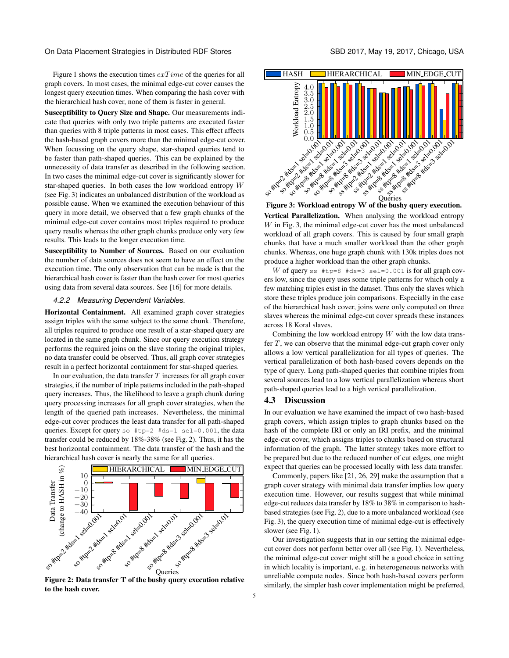#### On Data Placement Strategies in Distributed RDF Stores Summan SBD 2017, May 19, 2017, Chicago, USA

Figure [1](#page-3-3) shows the execution times  $exTime$  of the queries for all graph covers. In most cases, the minimal edge-cut cover causes the longest query execution times. When comparing the hash cover with the hierarchical hash cover, none of them is faster in general.

Susceptibility to Query Size and Shape. Our measurements indicate that queries with only two triple patterns are executed faster than queries with 8 triple patterns in most cases. This effect affects the hash-based graph covers more than the minimal edge-cut cover. When focussing on the query shape, star-shaped queries tend to be faster than path-shaped queries. This can be explained by the unnecessity of data transfer as described in the following section. In two cases the minimal edge-cut cover is significantly slower for star-shaped queries. In both cases the low workload entropy  $W$ (see Fig. [3\)](#page-4-0) indicates an unbalanced distribution of the workload as possible cause. When we examined the execution behaviour of this query in more detail, we observed that a few graph chunks of the minimal edge-cut cover contains most triples required to produce query results whereas the other graph chunks produce only very few results. This leads to the longer execution time.

Susceptibility to Number of Sources. Based on our evaluation the number of data sources does not seem to have an effect on the execution time. The only observation that can be made is that the hierarchical hash cover is faster than the hash cover for most queries using data from several data sources. See [\[16\]](#page-5-26) for more details.

#### *4.2.2 Measuring Dependent Variables.*

Horizontal Containment. All examined graph cover strategies assign triples with the same subject to the same chunk. Therefore, all triples required to produce one result of a star-shaped query are located in the same graph chunk. Since our query execution strategy performs the required joins on the slave storing the original triples, no data transfer could be observed. Thus, all graph cover strategies result in a perfect horizontal containment for star-shaped queries.

In our evaluation, the data transfer  $T$  increases for all graph cover strategies, if the number of triple patterns included in the path-shaped query increases. Thus, the likelihood to leave a graph chunk during query processing increases for all graph cover strategies, when the length of the queried path increases. Nevertheless, the minimal edge-cut cover produces the least data transfer for all path-shaped queries. Except for query so #tp=2 #ds=1 sel=0.001, the data transfer could be reduced by 18%-38% (see Fig. [2\)](#page-4-1). Thus, it has the best horizontal containment. The data transfer of the hash and the hierarchical hash cover is nearly the same for all queries.

<span id="page-4-1"></span>

Figure 2: Data transfer T of the bushy query execution relative to the hash cover.

<span id="page-4-0"></span>

Vertical Parallelization. When analysing the workload entropy  $W$  in Fig. [3,](#page-4-0) the minimal edge-cut cover has the most unbalanced workload of all graph covers. This is caused by four small graph chunks that have a much smaller workload than the other graph chunks. Whereas, one huge graph chunk with 130k triples does not produce a higher workload than the other graph chunks.

W of query ss  $#tp=8$   $#ds=3$  sel=0.001 is for all graph covers low, since the query uses some triple patterns for which only a few matching triples exist in the dataset. Thus only the slaves which store these triples produce join comparisons. Especially in the case of the hierarchical hash cover, joins were only computed on three slaves whereas the minimal edge-cut cover spreads these instances across 18 Koral slaves.

Combining the low workload entropy  $W$  with the low data transfer T, we can observe that the minimal edge-cut graph cover only allows a low vertical parallelization for all types of queries. The vertical parallelization of both hash-based covers depends on the type of query. Long path-shaped queries that combine triples from several sources lead to a low vertical parallelization whereas short path-shaped queries lead to a high vertical parallelization.

#### 4.3 Discussion

In our evaluation we have examined the impact of two hash-based graph covers, which assign triples to graph chunks based on the hash of the complete IRI or only an IRI prefix, and the minimal edge-cut cover, which assigns triples to chunks based on structural information of the graph. The latter strategy takes more effort to be prepared but due to the reduced number of cut edges, one might expect that queries can be processed locally with less data transfer.

Commonly, papers like [\[21,](#page-5-7) [26,](#page-5-22) [29\]](#page-5-20) make the assumption that a graph cover strategy with minimal data transfer implies low query execution time. However, our results suggest that while minimal edge-cut reduces data transfer by 18% to 38% in comparison to hashbased strategies (see Fig. [2\)](#page-4-1), due to a more unbalanced workload (see Fig. [3\)](#page-4-0), the query execution time of minimal edge-cut is effectively slower (see Fig. [1\)](#page-3-3).

Our investigation suggests that in our setting the minimal edgecut cover does not perform better over all (see Fig. [1\)](#page-3-3). Nevertheless, the minimal edge-cut cover might still be a good choice in setting in which locality is important, e. g. in heterogeneous networks with unreliable compute nodes. Since both hash-based covers perform similarly, the simpler hash cover implementation might be preferred,